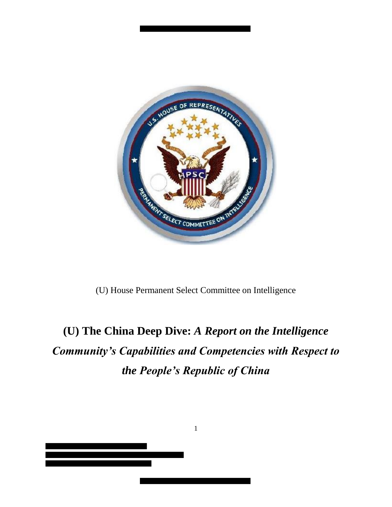

(U) House Permanent Select Committee on Intelligence

# **(U) The China Deep Dive:** *A Report on the Intelligence Community's Capabilities and Competencies with Respect to the People's Republic of China*



1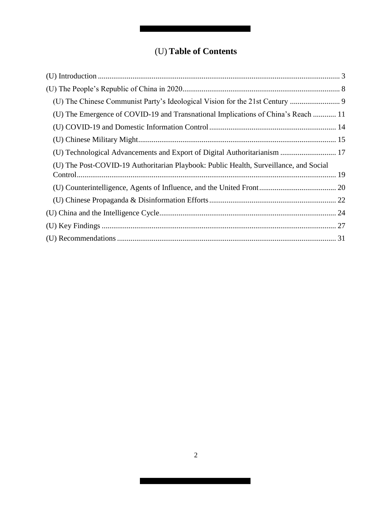# (U) **Table of Contents**

| (U) The Emergence of COVID-19 and Transnational Implications of China's Reach  11     |  |
|---------------------------------------------------------------------------------------|--|
|                                                                                       |  |
|                                                                                       |  |
| (U) Technological Advancements and Export of Digital Authoritarianism  17             |  |
| (U) The Post-COVID-19 Authoritarian Playbook: Public Health, Surveillance, and Social |  |
|                                                                                       |  |
|                                                                                       |  |
|                                                                                       |  |
|                                                                                       |  |
|                                                                                       |  |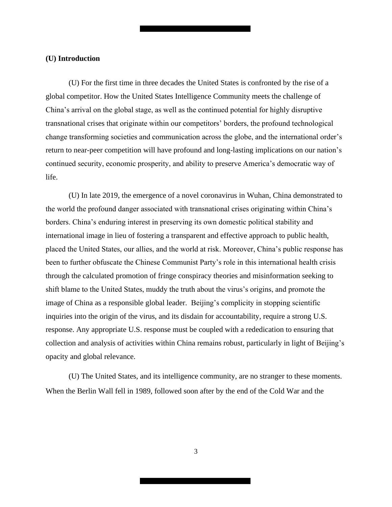#### **(U) Introduction**

(U) For the first time in three decades the United States is confronted by the rise of a global competitor. How the United States Intelligence Community meets the challenge of China's arrival on the global stage, as well as the continued potential for highly disruptive transnational crises that originate within our competitors' borders, the profound technological change transforming societies and communication across the globe, and the international order's return to near-peer competition will have profound and long-lasting implications on our nation's continued security, economic prosperity, and ability to preserve America's democratic way of life.

(U) In late 2019, the emergence of a novel coronavirus in Wuhan, China demonstrated to the world the profound danger associated with transnational crises originating within China's borders. China's enduring interest in preserving its own domestic political stability and international image in lieu of fostering a transparent and effective approach to public health, placed the United States, our allies, and the world at risk. Moreover, China's public response has been to further obfuscate the Chinese Communist Party's role in this international health crisis through the calculated promotion of fringe conspiracy theories and misinformation seeking to shift blame to the United States, muddy the truth about the virus's origins, and promote the image of China as a responsible global leader. Beijing's complicity in stopping scientific inquiries into the origin of the virus, and its disdain for accountability, require a strong U.S. response. Any appropriate U.S. response must be coupled with a rededication to ensuring that collection and analysis of activities within China remains robust, particularly in light of Beijing's opacity and global relevance.

(U) The United States, and its intelligence community, are no stranger to these moments. When the Berlin Wall fell in 1989, followed soon after by the end of the Cold War and the

3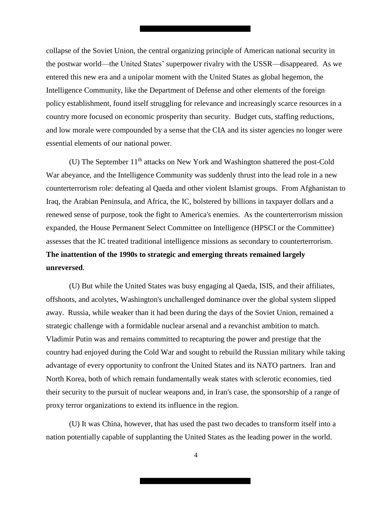collapse of the Soviet Union, the central organizing principle of American national security in the postwar world—the United States' superpower rivalry with the USSR—disappeared. As we entered this new era and a unipolar moment with the United States as global hegemon, the Intelligence Community, like the Department of Defense and other elements of the foreign policy establishment, found itself struggling for relevance and increasingly scarce resources in a country more focused on economic prosperity than security. Budget cuts, staffing reductions, and low morale were compounded by a sense that the CIA and its sister agencies no longer were essential elements of our national power.

(U) The September 11<sup>th</sup> attacks on New York and Washington shattered the post-Cold War abeyance, and the Intelligence Community was suddenly thrust into the lead role in a new counterterrorism role: defeating al Qaeda and other violent Islamist groups. From Afghanistan to Iraq, the Arabian Peninsula, and Africa, the IC, bolstered by billions in taxpayer dollars and a renewed sense of purpose, took the fight to America's enemies. As the counterterrorism mission expanded, the House Permanent Select Committee on Intelligence (HPSCI or the Committee) assesses that the IC treated traditional intelligence missions as secondary to counterterrorism. **The inattention of the 1990s to strategic and emerging threats remained largely unreversed**.

(U) But while the United States was busy engaging al Qaeda, ISIS, and their affiliates, offshoots, and acolytes, Washington's unchallenged dominance over the global system slipped away. Russia, while weaker than it had been during the days of the Soviet Union, remained a strategic challenge with a formidable nuclear arsenal and a revanchist ambition to match. Vladimir Putin was and remains committed to recapturing the power and prestige that the country had enjoyed during the Cold War and sought to rebuild the Russian military while taking advantage of every opportunity to confront the United States and its NATO partners. Iran and North Korea, both of which remain fundamentally weak states with sclerotic economies, tied their security to the pursuit of nuclear weapons and, in Iran's case, the sponsorship of a range of proxy terror organizations to extend its influence in the region.

(U) It was China, however, that has used the past two decades to transform itself into a nation potentially capable of supplanting the United States as the leading power in the world.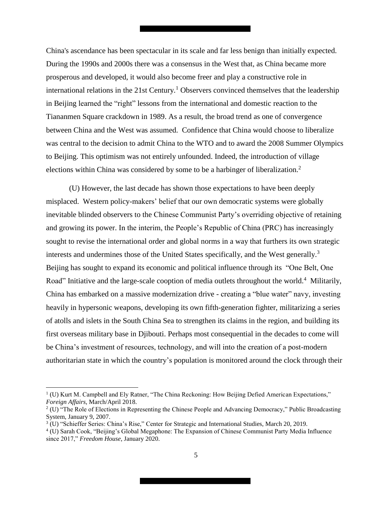China's ascendance has been spectacular in its scale and far less benign than initially expected. During the 1990s and 2000s there was a consensus in the West that, as China became more prosperous and developed, it would also become freer and play a constructive role in international relations in the 21st Century.<sup>1</sup> Observers convinced themselves that the leadership in Beijing learned the "right" lessons from the international and domestic reaction to the Tiananmen Square crackdown in 1989. As a result, the broad trend as one of convergence between China and the West was assumed. Confidence that China would choose to liberalize was central to the decision to admit China to the WTO and to award the 2008 Summer Olympics to Beijing. This optimism was not entirely unfounded. Indeed, the introduction of village elections within China was considered by some to be a harbinger of liberalization.<sup>2</sup>

(U) However, the last decade has shown those expectations to have been deeply misplaced. Western policy-makers' belief that our own democratic systems were globally inevitable blinded observers to the Chinese Communist Party's overriding objective of retaining and growing its power. In the interim, the People's Republic of China (PRC) has increasingly sought to revise the international order and global norms in a way that furthers its own strategic interests and undermines those of the United States specifically, and the West generally.<sup>3</sup> Beijing has sought to expand its economic and political influence through its "One Belt, One Road" Initiative and the large-scale cooption of media outlets throughout the world.<sup>4</sup> Militarily, China has embarked on a massive modernization drive - creating a "blue water" navy, investing heavily in hypersonic weapons, developing its own fifth-generation fighter, militarizing a series of atolls and islets in the South China Sea to strengthen its claims in the region, and building its first overseas military base in Djibouti. Perhaps most consequential in the decades to come will be China's investment of resources, technology, and will into the creation of a post-modern authoritarian state in which the country's population is monitored around the clock through their

 $\overline{\phantom{a}}$ 

<sup>&</sup>lt;sup>1</sup> (U) Kurt M. Campbell and Ely Ratner, "The China Reckoning: How Beijing Defied American Expectations," *Foreign Affairs,* March/April 2018.

<sup>&</sup>lt;sup>2</sup> (U) "The Role of Elections in Representing the Chinese People and Advancing Democracy," Public Broadcasting System, January 9, 2007.

<sup>3</sup> (U) "Schieffer Series: China's Rise," Center for Strategic and International Studies, March 20, 2019.

<sup>4</sup> (U) Sarah Cook, "Beijing's Global Megaphone: The Expansion of Chinese Communist Party Media Influence since 2017," *Freedom House*, January 2020.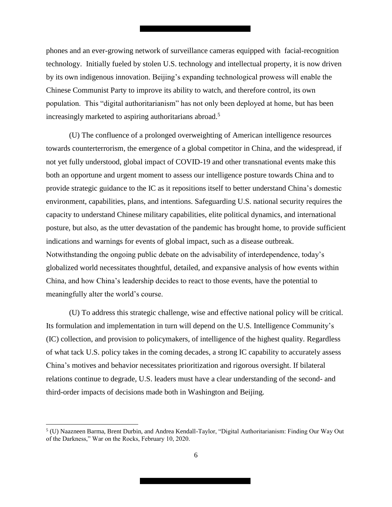phones and an ever-growing network of surveillance cameras equipped with facial-recognition technology. Initially fueled by stolen U.S. technology and intellectual property, it is now driven by its own indigenous innovation. Beijing's expanding technological prowess will enable the Chinese Communist Party to improve its ability to watch, and therefore control, its own population. This "digital authoritarianism" has not only been deployed at home, but has been increasingly marketed to aspiring authoritarians abroad.<sup>5</sup>

(U) The confluence of a prolonged overweighting of American intelligence resources towards counterterrorism, the emergence of a global competitor in China, and the widespread, if not yet fully understood, global impact of COVID-19 and other transnational events make this both an opportune and urgent moment to assess our intelligence posture towards China and to provide strategic guidance to the IC as it repositions itself to better understand China's domestic environment, capabilities, plans, and intentions. Safeguarding U.S. national security requires the capacity to understand Chinese military capabilities, elite political dynamics, and international posture, but also, as the utter devastation of the pandemic has brought home, to provide sufficient indications and warnings for events of global impact, such as a disease outbreak. Notwithstanding the ongoing public debate on the advisability of interdependence, today's globalized world necessitates thoughtful, detailed, and expansive analysis of how events within China, and how China's leadership decides to react to those events, have the potential to meaningfully alter the world's course.

(U) To address this strategic challenge, wise and effective national policy will be critical. Its formulation and implementation in turn will depend on the U.S. Intelligence Community's (IC) collection, and provision to policymakers, of intelligence of the highest quality. Regardless of what tack U.S. policy takes in the coming decades, a strong IC capability to accurately assess China's motives and behavior necessitates prioritization and rigorous oversight. If bilateral relations continue to degrade, U.S. leaders must have a clear understanding of the second- and third-order impacts of decisions made both in Washington and Beijing.

 $\overline{a}$ 

<sup>5</sup> (U) Naazneen Barma, Brent Durbin, and Andrea Kendall-Taylor, "Digital Authoritarianism: Finding Our Way Out of the Darkness," War on the Rocks, February 10, 2020.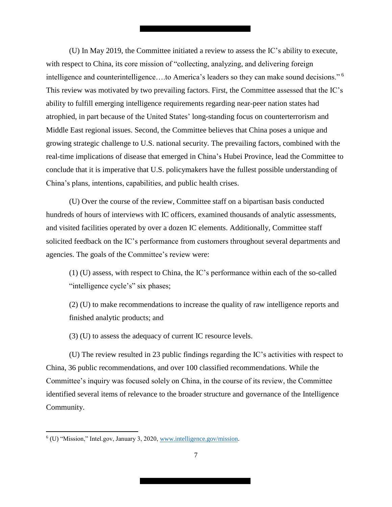(U) In May 2019, the Committee initiated a review to assess the IC's ability to execute, with respect to China, its core mission of "collecting, analyzing, and delivering foreign intelligence and counterintelligence….to America's leaders so they can make sound decisions." <sup>6</sup> This review was motivated by two prevailing factors. First, the Committee assessed that the IC's ability to fulfill emerging intelligence requirements regarding near-peer nation states had atrophied, in part because of the United States' long-standing focus on counterterrorism and Middle East regional issues. Second, the Committee believes that China poses a unique and growing strategic challenge to U.S. national security. The prevailing factors, combined with the real-time implications of disease that emerged in China's Hubei Province, lead the Committee to conclude that it is imperative that U.S. policymakers have the fullest possible understanding of China's plans, intentions, capabilities, and public health crises.

(U) Over the course of the review, Committee staff on a bipartisan basis conducted hundreds of hours of interviews with IC officers, examined thousands of analytic assessments, and visited facilities operated by over a dozen IC elements. Additionally, Committee staff solicited feedback on the IC's performance from customers throughout several departments and agencies. The goals of the Committee's review were:

(1) (U) assess, with respect to China, the IC's performance within each of the so-called "intelligence cycle's" six phases;

(2) (U) to make recommendations to increase the quality of raw intelligence reports and finished analytic products; and

(3) (U) to assess the adequacy of current IC resource levels.

(U) The review resulted in 23 public findings regarding the IC's activities with respect to China, 36 public recommendations, and over 100 classified recommendations. While the Committee's inquiry was focused solely on China, in the course of its review, the Committee identified several items of relevance to the broader structure and governance of the Intelligence Community.

 6 (U) "Mission," Intel.gov, January 3, 2020, www.intelligence.gov/mission.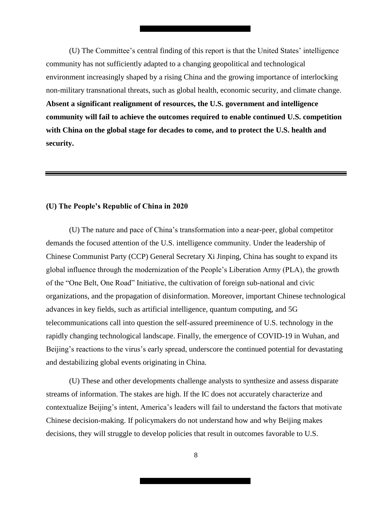(U) The Committee's central finding of this report is that the United States' intelligence community has not sufficiently adapted to a changing geopolitical and technological environment increasingly shaped by a rising China and the growing importance of interlocking non-military transnational threats, such as global health, economic security, and climate change. **Absent a significant realignment of resources, the U.S. government and intelligence community will fail to achieve the outcomes required to enable continued U.S. competition with China on the global stage for decades to come, and to protect the U.S. health and security.**

#### <span id="page-7-0"></span>**(U) The People's Republic of China in 2020**

(U) The nature and pace of China's transformation into a near-peer, global competitor demands the focused attention of the U.S. intelligence community. Under the leadership of Chinese Communist Party (CCP) General Secretary Xi Jinping, China has sought to expand its global influence through the modernization of the People's Liberation Army (PLA), the growth of the "One Belt, One Road" Initiative, the cultivation of foreign sub-national and civic organizations, and the propagation of disinformation. Moreover, important Chinese technological advances in key fields, such as artificial intelligence, quantum computing, and 5G telecommunications call into question the self-assured preeminence of U.S. technology in the rapidly changing technological landscape. Finally, the emergence of COVID-19 in Wuhan, and Beijing's reactions to the virus's early spread, underscore the continued potential for devastating and destabilizing global events originating in China.

(U) These and other developments challenge analysts to synthesize and assess disparate streams of information. The stakes are high. If the IC does not accurately characterize and contextualize Beijing's intent, America's leaders will fail to understand the factors that motivate Chinese decision-making. If policymakers do not understand how and why Beijing makes decisions, they will struggle to develop policies that result in outcomes favorable to U.S.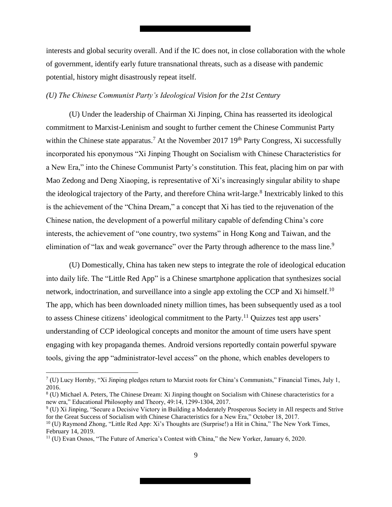interests and global security overall. And if the IC does not, in close collaboration with the whole of government, identify early future transnational threats, such as a disease with pandemic potential, history might disastrously repeat itself.

#### <span id="page-8-0"></span>*(U) The Chinese Communist Party's Ideological Vision for the 21st Century*

(U) Under the leadership of Chairman Xi Jinping, China has reasserted its ideological commitment to Marxist-Leninism and sought to further cement the Chinese Communist Party within the Chinese state apparatus.<sup>7</sup> At the November 2017 19<sup>th</sup> Party Congress, Xi successfully incorporated his eponymous "Xi Jinping Thought on Socialism with Chinese Characteristics for a New Era," into the Chinese Communist Party's constitution. This feat, placing him on par with Mao Zedong and Deng Xiaoping, is representative of Xi's increasingly singular ability to shape the ideological trajectory of the Party, and therefore China writ-large.<sup>8</sup> Inextricably linked to this is the achievement of the "China Dream," a concept that Xi has tied to the rejuvenation of the Chinese nation, the development of a powerful military capable of defending China's core interests, the achievement of "one country, two systems" in Hong Kong and Taiwan, and the elimination of "lax and weak governance" over the Party through adherence to the mass line.<sup>9</sup>

(U) Domestically, China has taken new steps to integrate the role of ideological education into daily life. The "Little Red App" is a Chinese smartphone application that synthesizes social network, indoctrination, and surveillance into a single app extoling the CCP and Xi himself.<sup>10</sup> The app, which has been downloaded ninety million times, has been subsequently used as a tool to assess Chinese citizens' ideological commitment to the Party.<sup>11</sup> Quizzes test app users' understanding of CCP ideological concepts and monitor the amount of time users have spent engaging with key propaganda themes. Android versions reportedly contain powerful spyware tools, giving the app "administrator-level access" on the phone, which enables developers to

l

<sup>7</sup> (U) Lucy Hornby, "Xi Jinping pledges return to Marxist roots for China's Communists," Financial Times, July 1, 2016.

<sup>&</sup>lt;sup>8</sup> (U) Michael A. Peters, The Chinese Dream: Xi Jinping thought on Socialism with Chinese characteristics for a new era," Educational Philosophy and Theory, 49:14, 1299-1304, 2017.

<sup>&</sup>lt;sup>9</sup> (U) Xi Jinping, "Secure a Decisive Victory in Building a Moderately Prosperous Society in All respects and Strive for the Great Success of Socialism with Chinese Characteristics for a New Era," October 18, 2017.

<sup>&</sup>lt;sup>10</sup> (U) Raymond Zhong, "Little Red App: Xi's Thoughts are (Surprise!) a Hit in China," The New York Times, February 14, 2019.

 $11$  (U) Evan Osnos, "The Future of America's Contest with China," the New Yorker, January 6, 2020.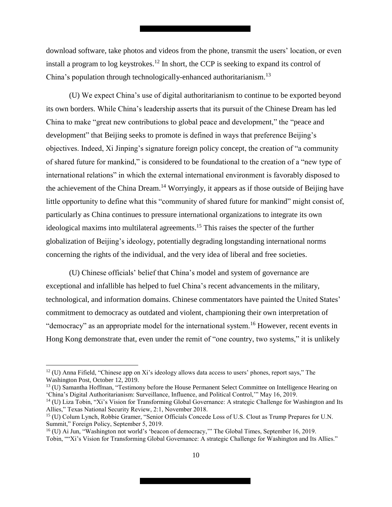download software, take photos and videos from the phone, transmit the users' location, or even install a program to log keystrokes.<sup>12</sup> In short, the CCP is seeking to expand its control of China's population through technologically-enhanced authoritarianism.<sup>13</sup>

(U) We expect China's use of digital authoritarianism to continue to be exported beyond its own borders. While China's leadership asserts that its pursuit of the Chinese Dream has led China to make "great new contributions to global peace and development," the "peace and development" that Beijing seeks to promote is defined in ways that preference Beijing's objectives. Indeed, Xi Jinping's signature foreign policy concept, the creation of "a community of shared future for mankind," is considered to be foundational to the creation of a "new type of international relations" in which the external international environment is favorably disposed to the achievement of the China Dream.<sup>14</sup> Worryingly, it appears as if those outside of Beijing have little opportunity to define what this "community of shared future for mankind" might consist of, particularly as China continues to pressure international organizations to integrate its own ideological maxims into multilateral agreements. <sup>15</sup> This raises the specter of the further globalization of Beijing's ideology, potentially degrading longstanding international norms concerning the rights of the individual, and the very idea of liberal and free societies.

(U) Chinese officials' belief that China's model and system of governance are exceptional and infallible has helped to fuel China's recent advancements in the military, technological, and information domains. Chinese commentators have painted the United States' commitment to democracy as outdated and violent, championing their own interpretation of "democracy" as an appropriate model for the international system.<sup>16</sup> However, recent events in Hong Kong demonstrate that, even under the remit of "one country, two systems," it is unlikely

 $\overline{\phantom{a}}$ 

<sup>13</sup> (U) Samantha Hoffman, "Testimony before the House Permanent Select Committee on Intelligence Hearing on 'China's Digital Authoritarianism: Surveillance, Influence, and Political Control,'" May 16, 2019.

 $12$  (U) Anna Fifield, "Chinese app on Xi's ideology allows data access to users' phones, report says," The Washington Post, October 12, 2019.

<sup>&</sup>lt;sup>14</sup> (U) Liza Tobin, "Xi's Vision for Transforming Global Governance: A strategic Challenge for Washington and Its Allies," Texas National Security Review, 2:1, November 2018.

<sup>15</sup> (U) Colum Lynch, Robbie Gramer, "Senior Officials Concede Loss of U.S. Clout as Trump Prepares for U.N. Summit," Foreign Policy, September 5, 2019.

<sup>&</sup>lt;sup>16</sup> (U) Ai Jun, "Washington not world's 'beacon of democracy," The Global Times, September 16, 2019. Tobin, ""Xi's Vision for Transforming Global Governance: A strategic Challenge for Washington and Its Allies."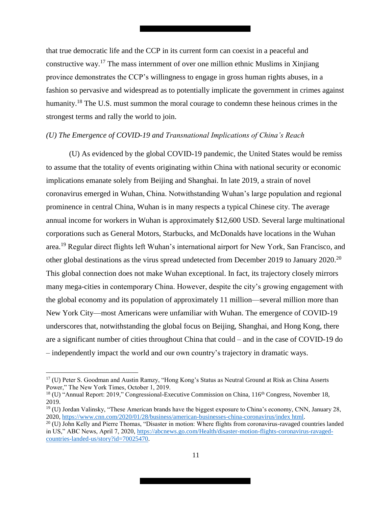that true democratic life and the CCP in its current form can coexist in a peaceful and constructive way.<sup>17</sup> The mass internment of over one million ethnic Muslims in Xinjiang province demonstrates the CCP's willingness to engage in gross human rights abuses, in a fashion so pervasive and widespread as to potentially implicate the government in crimes against humanity.<sup>18</sup> The U.S. must summon the moral courage to condemn these heinous crimes in the strongest terms and rally the world to join.

#### <span id="page-10-0"></span>*(U) The Emergence of COVID-19 and Transnational Implications of China's Reach*

(U) As evidenced by the global COVID-19 pandemic, the United States would be remiss to assume that the totality of events originating within China with national security or economic implications emanate solely from Beijing and Shanghai. In late 2019, a strain of novel coronavirus emerged in Wuhan, China. Notwithstanding Wuhan's large population and regional prominence in central China, Wuhan is in many respects a typical Chinese city. The average annual income for workers in Wuhan is approximately \$12,600 USD. Several large multinational corporations such as General Motors, Starbucks, and McDonalds have locations in the Wuhan area.<sup>19</sup> Regular direct flights left Wuhan's international airport for New York, San Francisco, and other global destinations as the virus spread undetected from December 2019 to January 2020.<sup>20</sup> This global connection does not make Wuhan exceptional. In fact, its trajectory closely mirrors many mega-cities in contemporary China. However, despite the city's growing engagement with the global economy and its population of approximately 11 million—several million more than New York City—most Americans were unfamiliar with Wuhan. The emergence of COVID-19 underscores that, notwithstanding the global focus on Beijing, Shanghai, and Hong Kong, there are a significant number of cities throughout China that could – and in the case of COVID-19 do – independently impact the world and our own country's trajectory in dramatic ways.

l

<sup>&</sup>lt;sup>17</sup> (U) Peter S. Goodman and Austin Ramzy, "Hong Kong's Status as Neutral Ground at Risk as China Asserts Power," The New York Times, October 1, 2019.

<sup>&</sup>lt;sup>18</sup> (U) "Annual Report: 2019," Congressional-Executive Commission on China, 116<sup>th</sup> Congress, November 18, 2019.

<sup>&</sup>lt;sup>19</sup> (U) Jordan Valinsky, "These American brands have the biggest exposure to China's economy, CNN, January 28, 2020, https://www.cnn.com/2020/01/28/business/american-businesses-china-coronavirus/index html.

<sup>&</sup>lt;sup>20</sup> (U) John Kelly and Pierre Thomas, "Disaster in motion: Where flights from coronavirus-ravaged countries landed in US," ABC News, April 7, 2020, https://abcnews.go.com/Health/disaster-motion-flights-coronavirus-ravagedcountries-landed-us/story?id=70025470.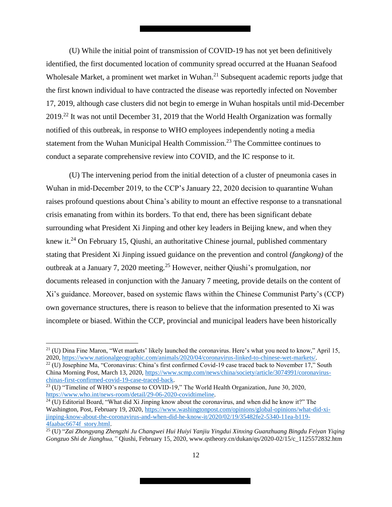(U) While the initial point of transmission of COVID-19 has not yet been definitively identified, the first documented location of community spread occurred at the Huanan Seafood Wholesale Market, a prominent wet market in Wuhan.<sup>21</sup> Subsequent academic reports judge that the first known individual to have contracted the disease was reportedly infected on November 17, 2019, although case clusters did not begin to emerge in Wuhan hospitals until mid-December 2019.<sup>22</sup> It was not until December 31, 2019 that the World Health Organization was formally notified of this outbreak, in response to WHO employees independently noting a media statement from the Wuhan Municipal Health Commission.<sup>23</sup> The Committee continues to conduct a separate comprehensive review into COVID, and the IC response to it.

(U) The intervening period from the initial detection of a cluster of pneumonia cases in Wuhan in mid-December 2019, to the CCP's January 22, 2020 decision to quarantine Wuhan raises profound questions about China's ability to mount an effective response to a transnational crisis emanating from within its borders. To that end, there has been significant debate surrounding what President Xi Jinping and other key leaders in Beijing knew, and when they knew it.<sup>24</sup> On February 15, Qiushi, an authoritative Chinese journal, published commentary stating that President Xi Jinping issued guidance on the prevention and control (*fangkong)* of the outbreak at a January 7, 2020 meeting.<sup>25</sup> However, neither Qiushi's promulgation, nor documents released in conjunction with the January 7 meeting, provide details on the content of Xi's guidance. Moreover, based on systemic flaws within the Chinese Communist Party's (CCP) own governance structures, there is reason to believe that the information presented to Xi was incomplete or biased. Within the CCP, provincial and municipal leaders have been historically

 $\overline{\phantom{a}}$ 

 $^{21}$  (U) Dina Fine Maron, "Wet markets' likely launched the coronavirus. Here's what you need to know," April 15, 2020, https://www.nationalgeographic.com/animals/2020/04/coronavirus-linked-to-chinese-wet-markets/.

<sup>&</sup>lt;sup>22</sup> (U) Josephine Ma, "Coronavirus: China's first confirmed Covid-19 case traced back to November 17," South China Morning Post, March 13, 2020, https://www.scmp.com/news/china/society/article/3074991/coronaviruschinas-first-confirmed-covid-19-case-traced-back.

 $23$  (U) "Timeline of WHO's response to COVID-19," The World Health Organization, June 30, 2020, https://www.who.int/news-room/detail/29-06-2020-covidtimeline.

 $24$  (U) Editorial Board, "What did Xi Jinping know about the coronavirus, and when did he know it?" The Washington, Post, February 19, 2020, https://www.washingtonpost.com/opinions/global-opinions/what-did-xijinping-know-about-the-coronavirus-and-when-did-he-know-it/2020/02/19/35482fe2-5340-11ea-b119- 4faabac6674f story.html.

<sup>25</sup> (U) "*Zai Zhongyang Zhengzhi Ju Changwei Hui Huiyi Yanjiu Yingdui Xinxing Guanzhuang Bingdu Feiyan Yiqing Gongzuo Shi de Jianghua,"* Qiushi, February 15, 2020, www.qstheory.cn/dukan/qs/2020-02/15/c\_1125572832.htm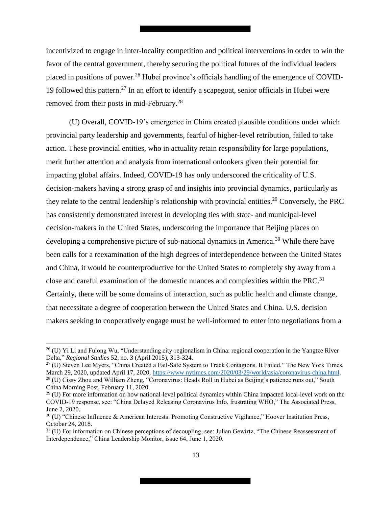incentivized to engage in inter-locality competition and political interventions in order to win the favor of the central government, thereby securing the political futures of the individual leaders placed in positions of power.<sup>26</sup> Hubei province's officials handling of the emergence of COVID-19 followed this pattern.<sup>27</sup> In an effort to identify a scapegoat, senior officials in Hubei were removed from their posts in mid-February.<sup>28</sup>

(U) Overall, COVID-19's emergence in China created plausible conditions under which provincial party leadership and governments, fearful of higher-level retribution, failed to take action. These provincial entities, who in actuality retain responsibility for large populations, merit further attention and analysis from international onlookers given their potential for impacting global affairs. Indeed, COVID-19 has only underscored the criticality of U.S. decision-makers having a strong grasp of and insights into provincial dynamics, particularly as they relate to the central leadership's relationship with provincial entities.<sup>29</sup> Conversely, the PRC has consistently demonstrated interest in developing ties with state- and municipal-level decision-makers in the United States, underscoring the importance that Beijing places on developing a comprehensive picture of sub-national dynamics in America.<sup>30</sup> While there have been calls for a reexamination of the high degrees of interdependence between the United States and China, it would be counterproductive for the United States to completely shy away from a close and careful examination of the domestic nuances and complexities within the PRC.<sup>31</sup> Certainly, there will be some domains of interaction, such as public health and climate change, that necessitate a degree of cooperation between the United States and China. U.S. decision makers seeking to cooperatively engage must be well-informed to enter into negotiations from a

 $\overline{\phantom{a}}$ 

 $^{26}$  (U) Yi Li and Fulong Wu, "Understanding city-regionalism in China: regional cooperation in the Yangtze River Delta," *Regional Studies* 52, no. 3 (April 2015), 313-324.

<sup>&</sup>lt;sup>27</sup> (U) Steven Lee Myers, "China Created a Fail-Safe System to Track Contagions. It Failed," The New York Times, March 29, 2020, updated April 17, 2020, https://www.nytimes.com/2020/03/29/world/asia/coronavirus-china.html. <sup>28</sup> (U) Cissy Zhou and William Zheng, "Coronavirus: Heads Roll in Hubei as Beijing's patience runs out," South China Morning Post, February 11, 2020.

 $29$  (U) For more information on how national-level political dynamics within China impacted local-level work on the COVID-19 response, see: "China Delayed Releasing Coronavirus Info, frustrating WHO," The Associated Press, June 2, 2020.

 $30$  (U) "Chinese Influence & American Interests: Promoting Constructive Vigilance," Hoover Institution Press, October 24, 2018.

<sup>&</sup>lt;sup>31</sup> (U) For information on Chinese perceptions of decoupling, see: Julian Gewirtz, "The Chinese Reassessment of Interdependence," China Leadership Monitor, issue 64, June 1, 2020.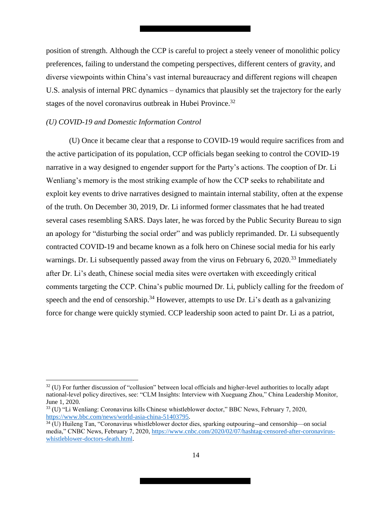position of strength. Although the CCP is careful to project a steely veneer of monolithic policy preferences, failing to understand the competing perspectives, different centers of gravity, and diverse viewpoints within China's vast internal bureaucracy and different regions will cheapen U.S. analysis of internal PRC dynamics – dynamics that plausibly set the trajectory for the early stages of the novel coronavirus outbreak in Hubei Province.<sup>32</sup>

#### <span id="page-13-0"></span>*(U) COVID-19 and Domestic Information Control*

 $\overline{a}$ 

(U) Once it became clear that a response to COVID-19 would require sacrifices from and the active participation of its population, CCP officials began seeking to control the COVID-19 narrative in a way designed to engender support for the Party's actions. The cooption of Dr. Li Wenliang's memory is the most striking example of how the CCP seeks to rehabilitate and exploit key events to drive narratives designed to maintain internal stability, often at the expense of the truth. On December 30, 2019, Dr. Li informed former classmates that he had treated several cases resembling SARS. Days later, he was forced by the Public Security Bureau to sign an apology for "disturbing the social order" and was publicly reprimanded. Dr. Li subsequently contracted COVID-19 and became known as a folk hero on Chinese social media for his early warnings. Dr. Li subsequently passed away from the virus on February 6, 2020.<sup>33</sup> Immediately after Dr. Li's death, Chinese social media sites were overtaken with exceedingly critical comments targeting the CCP. China's public mourned Dr. Li, publicly calling for the freedom of speech and the end of censorship.<sup>34</sup> However, attempts to use Dr. Li's death as a galvanizing force for change were quickly stymied. CCP leadership soon acted to paint Dr. Li as a patriot,

 $32$  (U) For further discussion of "collusion" between local officials and higher-level authorities to locally adapt national-level policy directives, see: "CLM Insights: Interview with Xueguang Zhou," China Leadership Monitor, June 1, 2020.

<sup>33</sup> (U) "Li Wenliang: Coronavirus kills Chinese whistleblower doctor," BBC News, February 7, 2020, https://www.bbc.com/news/world-asia-china-51403795.

 $34$  (U) Huileng Tan, "Coronavirus whistleblower doctor dies, sparking outpouring--and censorship—on social media," CNBC News, February 7, 2020, https://www.cnbc.com/2020/02/07/hashtag-censored-after-coronaviruswhistleblower-doctors-death.html.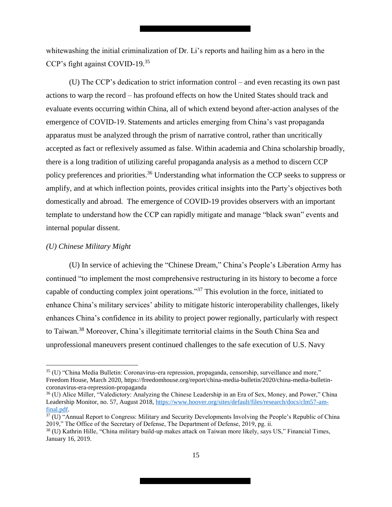whitewashing the initial criminalization of Dr. Li's reports and hailing him as a hero in the CCP's fight against COVID-19.<sup>35</sup>

(U) The CCP's dedication to strict information control – and even recasting its own past actions to warp the record – has profound effects on how the United States should track and evaluate events occurring within China, all of which extend beyond after-action analyses of the emergence of COVID-19. Statements and articles emerging from China's vast propaganda apparatus must be analyzed through the prism of narrative control, rather than uncritically accepted as fact or reflexively assumed as false. Within academia and China scholarship broadly, there is a long tradition of utilizing careful propaganda analysis as a method to discern CCP policy preferences and priorities.<sup>36</sup> Understanding what information the CCP seeks to suppress or amplify, and at which inflection points, provides critical insights into the Party's objectives both domestically and abroad. The emergence of COVID-19 provides observers with an important template to understand how the CCP can rapidly mitigate and manage "black swan" events and internal popular dissent.

#### <span id="page-14-0"></span>*(U) Chinese Military Might*

 $\overline{\phantom{a}}$ 

(U) In service of achieving the "Chinese Dream," China's People's Liberation Army has continued "to implement the most comprehensive restructuring in its history to become a force capable of conducting complex joint operations."<sup>37</sup> This evolution in the force, initiated to enhance China's military services' ability to mitigate historic interoperability challenges, likely enhances China's confidence in its ability to project power regionally, particularly with respect to Taiwan.<sup>38</sup> Moreover, China's illegitimate territorial claims in the South China Sea and unprofessional maneuvers present continued challenges to the safe execution of U.S. Navy

<sup>&</sup>lt;sup>35</sup> (U) "China Media Bulletin: Coronavirus-era repression, propaganda, censorship, surveillance and more," Freedom House, March 2020, https://freedomhouse.org/report/china-media-bulletin/2020/china-media-bulletincoronavirus-era-repression-propaganda

<sup>&</sup>lt;sup>36</sup> (U) Alice Miller, "Valedictory: Analyzing the Chinese Leadership in an Era of Sex, Money, and Power," China Leadership Monitor, no. 57, August 2018, https://www.hoover.org/sites/default/files/research/docs/clm57-amfinal.pdf.

 $37$  (U) "Annual Report to Congress: Military and Security Developments Involving the People's Republic of China 2019," The Office of the Secretary of Defense, The Department of Defense, 2019, pg. ii.

<sup>&</sup>lt;sup>38</sup> (U) Kathrin Hille, "China military build-up makes attack on Taiwan more likely, says US," Financial Times, January 16, 2019.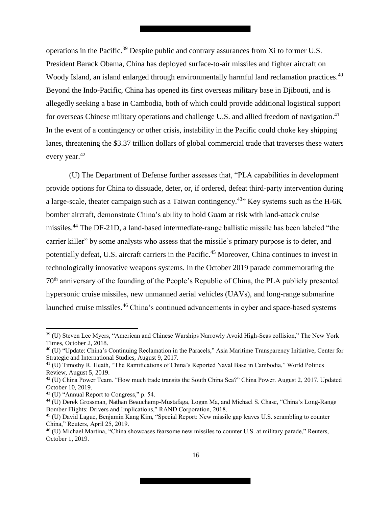operations in the Pacific.<sup>39</sup> Despite public and contrary assurances from Xi to former U.S. President Barack Obama, China has deployed surface-to-air missiles and fighter aircraft on Woody Island, an island enlarged through environmentally harmful land reclamation practices.<sup>40</sup> Beyond the Indo-Pacific, China has opened its first overseas military base in Djibouti, and is allegedly seeking a base in Cambodia, both of which could provide additional logistical support for overseas Chinese military operations and challenge U.S. and allied freedom of navigation.<sup>41</sup> In the event of a contingency or other crisis, instability in the Pacific could choke key shipping lanes, threatening the \$3.37 trillion dollars of global commercial trade that traverses these waters every year.<sup>42</sup>

(U) The Department of Defense further assesses that, "PLA capabilities in development provide options for China to dissuade, deter, or, if ordered, defeat third-party intervention during a large-scale, theater campaign such as a Taiwan contingency.<sup>43</sup> Key systems such as the H-6K bomber aircraft, demonstrate China's ability to hold Guam at risk with land-attack cruise missiles.<sup>44</sup> The DF-21D, a land-based intermediate-range ballistic missile has been labeled "the carrier killer" by some analysts who assess that the missile's primary purpose is to deter, and potentially defeat, U.S. aircraft carriers in the Pacific.<sup>45</sup> Moreover, China continues to invest in technologically innovative weapons systems. In the October 2019 parade commemorating the 70th anniversary of the founding of the People's Republic of China, the PLA publicly presented hypersonic cruise missiles, new unmanned aerial vehicles (UAVs), and long-range submarine launched cruise missiles.<sup>46</sup> China's continued advancements in cyber and space-based systems

l

<sup>39</sup> (U) Steven Lee Myers, "American and Chinese Warships Narrowly Avoid High-Seas collision," The New York Times, October 2, 2018.

<sup>40</sup> (U) "Update: China's Continuing Reclamation in the Paracels," Asia Maritime Transparency Initiative, Center for Strategic and International Studies, August 9, 2017.

<sup>41</sup> (U) Timothy R. Heath, "The Ramifications of China's Reported Naval Base in Cambodia," World Politics Review, August 5, 2019.

<sup>&</sup>lt;sup>42</sup> (U) China Power Team. "How much trade transits the South China Sea?" China Power. August 2, 2017. Updated October 10, 2019.

<sup>43</sup> (U) "Annual Report to Congress," p. 54.

<sup>44</sup> (U) Derek Grossman, Nathan Beauchamp-Mustafaga, Logan Ma, and Michael S. Chase, "China's Long-Range Bomber Flights: Drivers and Implications," RAND Corporation, 2018.

<sup>45</sup> (U) David Lague, Benjamin Kang Kim, "Special Report: New missile gap leaves U.S. scrambling to counter China," Reuters, April 25, 2019.

<sup>46</sup> (U) Michael Martina, "China showcases fearsome new missiles to counter U.S. at military parade," Reuters, October 1, 2019.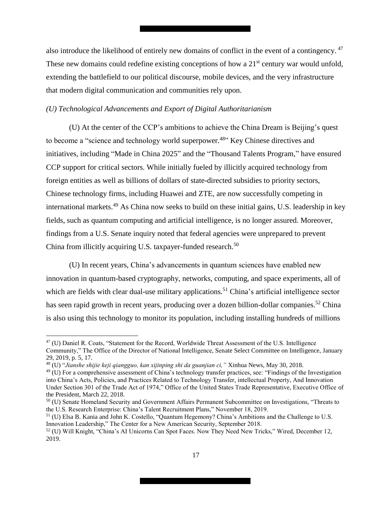also introduce the likelihood of entirely new domains of conflict in the event of a contingency.<sup>47</sup> These new domains could redefine existing conceptions of how a 21<sup>st</sup> century war would unfold, extending the battlefield to our political discourse, mobile devices, and the very infrastructure that modern digital communication and communities rely upon.

#### <span id="page-16-0"></span>*(U) Technological Advancements and Export of Digital Authoritarianism*

(U) At the center of the CCP's ambitions to achieve the China Dream is Beijing's quest to become a "science and technology world superpower.<sup>48</sup>" Key Chinese directives and initiatives, including "Made in China 2025" and the "Thousand Talents Program," have ensured CCP support for critical sectors. While initially fueled by illicitly acquired technology from foreign entities as well as billions of dollars of state-directed subsidies to priority sectors, Chinese technology firms, including Huawei and ZTE, are now successfully competing in international markets.<sup>49</sup> As China now seeks to build on these initial gains, U.S. leadership in key fields, such as quantum computing and artificial intelligence, is no longer assured. Moreover, findings from a U.S. Senate inquiry noted that federal agencies were unprepared to prevent China from illicitly acquiring U.S. taxpayer-funded research.<sup>50</sup>

(U) In recent years, China's advancements in quantum sciences have enabled new innovation in quantum-based cryptography, networks, computing, and space experiments, all of which are fields with clear dual-use military applications.<sup>51</sup> China's artificial intelligence sector has seen rapid growth in recent years, producing over a dozen billion-dollar companies.<sup>52</sup> China is also using this technology to monitor its population, including installing hundreds of millions

 $\overline{\phantom{a}}$ 

<sup>&</sup>lt;sup>47</sup> (U) Daniel R. Coats, "Statement for the Record, Worldwide Threat Assessment of the U.S. Intelligence Community," The Office of the Director of National Intelligence, Senate Select Committee on Intelligence, January 29, 2019, p. 5, 17.

<sup>48</sup> (U) "*Jianshe shijie keji qiangguo, kan xijinping shi da guanjian ci,"* Xinhua News, May 30, 2018.

 $^{49}$  (U) For a comprehensive assessment of China's technology transfer practices, see: "Findings of the Investigation into China's Acts, Policies, and Practices Related to Technology Transfer, intellectual Property, And Innovation Under Section 301 of the Trade Act of 1974," Office of the United States Trade Representative, Executive Office of the President, March 22, 2018.

<sup>50</sup> (U) Senate Homeland Security and Government Affairs Permanent Subcommittee on Investigations, "Threats to the U.S. Research Enterprise: China's Talent Recruitment Plans," November 18, 2019.

<sup>51</sup> (U) Elsa B. Kania and John K. Costello, "Quantum Hegemony? China's Ambitions and the Challenge to U.S. Innovation Leadership," The Center for a New American Security, September 2018.

<sup>52</sup> (U) Will Knight, "China's AI Unicorns Can Spot Faces. Now They Need New Tricks," Wired, December 12, 2019.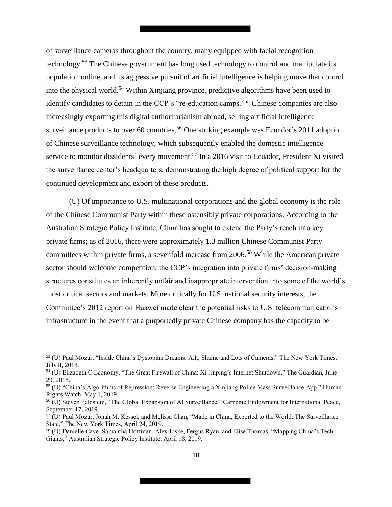of surveillance cameras throughout the country, many equipped with facial recognition technology.<sup>53</sup> The Chinese government has long used technology to control and manipulate its population online, and its aggressive pursuit of artificial intelligence is helping move that control into the physical world.<sup>54</sup> Within Xinjiang province, predictive algorithms have been used to identify candidates to detain in the CCP's "re-education camps."<sup>55</sup> Chinese companies are also increasingly exporting this digital authoritarianism abroad, selling artificial intelligence surveillance products to over 60 countries.<sup>56</sup> One striking example was Ecuador's 2011 adoption of Chinese surveillance technology, which subsequently enabled the domestic intelligence service to monitor dissidents' every movement.<sup>57</sup> In a 2016 visit to Ecuador, President Xi visited the surveillance center's headquarters, demonstrating the high degree of political support for the continued development and export of these products.

(U) Of importance to U.S. multinational corporations and the global economy is the role of the Chinese Communist Party within these ostensibly private corporations. According to the Australian Strategic Policy Institute, China has sought to extend the Party's reach into key private firms; as of 2016, there were approximately 1.3 million Chinese Communist Party committees within private firms, a sevenfold increase from 2006.<sup>58</sup> While the American private sector should welcome competition, the CCP's integration into private firms' decision-making structures constitutes an inherently unfair and inappropriate intervention into some of the world's most critical sectors and markets. More critically for U.S. national security interests, the Committee's 2012 report on Huawei made clear the potential risks to U.S. telecommunications infrastructure in the event that a purportedly private Chinese company has the capacity to be

l

<sup>53</sup> (U) Paul Mozur, "Inside China's Dystopian Dreams: A.I., Shame and Lots of Cameras," The New York Times, July 8, 2018.

<sup>54</sup> (U) Elizabeth C Economy, "The Great Firewall of China: Xi Jinping's Internet Shutdown," The Guardian, June 29, 2018.

<sup>55</sup> (U) "China's Algorithms of Repression: Reverse Engineering a Xinjiang Police Mass Surveillance App," Human Rights Watch, May 1, 2019.

<sup>56</sup> (U) Steven Feldstein, "The Global Expansion of AI Surveillance," Carnegie Endowment for International Peace, September 17, 2019.

<sup>57</sup> (U) Paul Mozur, Jonah M. Kessel, and Melissa Chan, "Made in China, Exported to the World: The Surveillance State," The New York Times, April 24, 2019.

<sup>58</sup> (U) Danielle Cave, Samantha Hoffman, Alex Joske, Fergus Ryan, and Elise Thomas, "Mapping China's Tech Giants," Australian Strategic Policy Institute, April 18, 2019.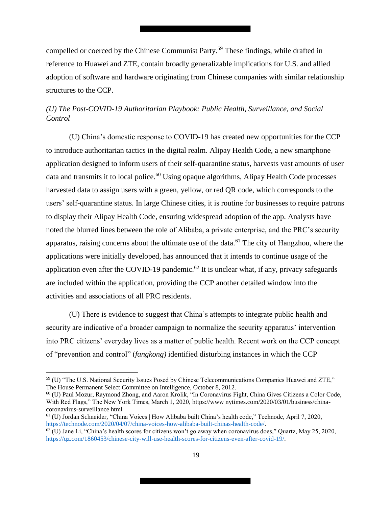compelled or coerced by the Chinese Communist Party.<sup>59</sup> These findings, while drafted in reference to Huawei and ZTE, contain broadly generalizable implications for U.S. and allied adoption of software and hardware originating from Chinese companies with similar relationship structures to the CCP.

# <span id="page-18-0"></span>*(U) The Post-COVID-19 Authoritarian Playbook: Public Health, Surveillance, and Social Control*

(U) China's domestic response to COVID-19 has created new opportunities for the CCP to introduce authoritarian tactics in the digital realm. Alipay Health Code, a new smartphone application designed to inform users of their self-quarantine status, harvests vast amounts of user data and transmits it to local police.<sup>60</sup> Using opaque algorithms, Alipay Health Code processes harvested data to assign users with a green, yellow, or red QR code, which corresponds to the users' self-quarantine status. In large Chinese cities, it is routine for businesses to require patrons to display their Alipay Health Code, ensuring widespread adoption of the app. Analysts have noted the blurred lines between the role of Alibaba, a private enterprise, and the PRC's security apparatus, raising concerns about the ultimate use of the data.<sup>61</sup> The city of Hangzhou, where the applications were initially developed, has announced that it intends to continue usage of the application even after the COVID-19 pandemic.<sup>62</sup> It is unclear what, if any, privacy safeguards are included within the application, providing the CCP another detailed window into the activities and associations of all PRC residents.

(U) There is evidence to suggest that China's attempts to integrate public health and security are indicative of a broader campaign to normalize the security apparatus' intervention into PRC citizens' everyday lives as a matter of public health. Recent work on the CCP concept of "prevention and control" (*fangkong)* identified disturbing instances in which the CCP

l

<sup>59</sup> (U) "The U.S. National Security Issues Posed by Chinese Telecommunications Companies Huawei and ZTE," The House Permanent Select Committee on Intelligence, October 8, 2012.

<sup>60</sup> (U) Paul Mozur, Raymond Zhong, and Aaron Krolik, "In Coronavirus Fight, China Gives Citizens a Color Code, With Red Flags," The New York Times, March 1, 2020, https://www nytimes.com/2020/03/01/business/chinacoronavirus-surveillance html

<sup>61</sup> (U) Jordan Schneider, "China Voices | How Alibaba built China's health code," Technode, April 7, 2020, https://technode.com/2020/04/07/china-voices-how-alibaba-built-chinas-health-code/.

 $62$  (U) Jane Li, "China's health scores for citizens won't go away when coronavirus does," Quartz, May 25, 2020, https://qz.com/1860453/chinese-city-will-use-health-scores-for-citizens-even-after-covid-19/.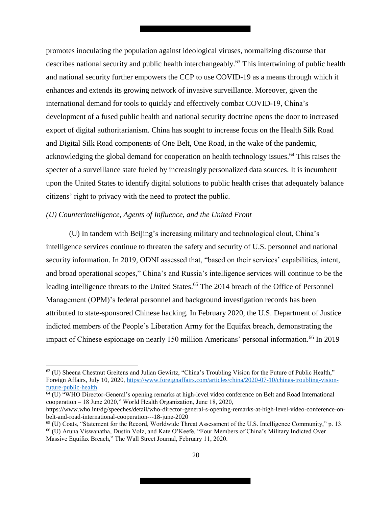promotes inoculating the population against ideological viruses, normalizing discourse that describes national security and public health interchangeably.<sup>63</sup> This intertwining of public health and national security further empowers the CCP to use COVID-19 as a means through which it enhances and extends its growing network of invasive surveillance. Moreover, given the international demand for tools to quickly and effectively combat COVID-19, China's development of a fused public health and national security doctrine opens the door to increased export of digital authoritarianism. China has sought to increase focus on the Health Silk Road and Digital Silk Road components of One Belt, One Road, in the wake of the pandemic, acknowledging the global demand for cooperation on health technology issues.<sup>64</sup> This raises the specter of a surveillance state fueled by increasingly personalized data sources. It is incumbent upon the United States to identify digital solutions to public health crises that adequately balance citizens' right to privacy with the need to protect the public.

#### <span id="page-19-0"></span>*(U) Counterintelligence, Agents of Influence, and the United Front*

 $\overline{\phantom{a}}$ 

(U) In tandem with Beijing's increasing military and technological clout, China's intelligence services continue to threaten the safety and security of U.S. personnel and national security information. In 2019, ODNI assessed that, "based on their services' capabilities, intent, and broad operational scopes," China's and Russia's intelligence services will continue to be the leading intelligence threats to the United States.<sup>65</sup> The 2014 breach of the Office of Personnel Management (OPM)'s federal personnel and background investigation records has been attributed to state-sponsored Chinese hacking. In February 2020, the U.S. Department of Justice indicted members of the People's Liberation Army for the Equifax breach, demonstrating the impact of Chinese espionage on nearly 150 million Americans' personal information.<sup>66</sup> In 2019

 $\frac{64}{10}$  "WHO Director-General's opening remarks at high-level video conference on Belt and Road International cooperation – 18 June 2020," World Health Organization, June 18, 2020,

<sup>63</sup> (U) Sheena Chestnut Greitens and Julian Gewirtz, "China's Troubling Vision for the Future of Public Health," Foreign Affairs, July 10, 2020, https://www.foreignaffairs.com/articles/china/2020-07-10/chinas-troubling-visionfuture-public-health.

https://www.who.int/dg/speeches/detail/who-director-general-s-opening-remarks-at-high-level-video-conference-onbelt-and-road-international-cooperation---18-june-2020

<sup>65</sup> (U) Coats, "Statement for the Record, Worldwide Threat Assessment of the U.S. Intelligence Community," p. 13.

<sup>66</sup> (U) Aruna Viswanatha, Dustin Volz, and Kate O'Keefe, "Four Members of China's Military Indicted Over Massive Equifax Breach," The Wall Street Journal, February 11, 2020.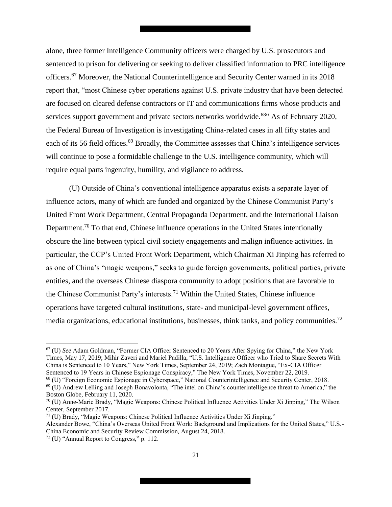alone, three former Intelligence Community officers were charged by U.S. prosecutors and sentenced to prison for delivering or seeking to deliver classified information to PRC intelligence officers.<sup>67</sup> Moreover, the National Counterintelligence and Security Center warned in its 2018 report that, "most Chinese cyber operations against U.S. private industry that have been detected are focused on cleared defense contractors or IT and communications firms whose products and services support government and private sectors networks worldwide.<sup>68</sup><sup>3</sup> As of February 2020, the Federal Bureau of Investigation is investigating China-related cases in all fifty states and each of its 56 field offices.<sup>69</sup> Broadly, the Committee assesses that China's intelligence services will continue to pose a formidable challenge to the U.S. intelligence community, which will require equal parts ingenuity, humility, and vigilance to address.

(U) Outside of China's conventional intelligence apparatus exists a separate layer of influence actors, many of which are funded and organized by the Chinese Communist Party's United Front Work Department, Central Propaganda Department, and the International Liaison Department.<sup>70</sup> To that end, Chinese influence operations in the United States intentionally obscure the line between typical civil society engagements and malign influence activities. In particular, the CCP's United Front Work Department, which Chairman Xi Jinping has referred to as one of China's "magic weapons," seeks to guide foreign governments, political parties, private entities, and the overseas Chinese diaspora community to adopt positions that are favorable to the Chinese Communist Party's interests.<sup>71</sup> Within the United States, Chinese influence operations have targeted cultural institutions, state- and municipal-level government offices, media organizations, educational institutions, businesses, think tanks, and policy communities.<sup>72</sup>

 $\overline{\phantom{a}}$ 

<sup>67</sup> (U) *See* Adam Goldman, "Former CIA Officer Sentenced to 20 Years After Spying for China," the New York Times, May 17, 2019; Mihir Zaveri and Mariel Padilla, "U.S. Intelligence Officer who Tried to Share Secrets With China is Sentenced to 10 Years," New York Times, September 24, 2019; Zach Montague, "Ex-CIA Officer Sentenced to 19 Years in Chinese Espionage Conspiracy," The New York Times, November 22, 2019.

<sup>68</sup> (U) "Foreign Economic Espionage in Cyberspace," National Counterintelligence and Security Center, 2018. <sup>69</sup> (U) Andrew Lelling and Joseph Bonavolonta, "The intel on China's counterintelligence threat to America," the

Boston Globe, February 11, 2020.

<sup>70</sup> (U) Anne-Marie Brady, "Magic Weapons: Chinese Political Influence Activities Under Xi Jinping," The Wilson Center, September 2017.

 $71$  (U) Brady, "Magic Weapons: Chinese Political Influence Activities Under Xi Jinping." Alexander Bowe, "China's Overseas United Front Work: Background and Implications for the United States," U.S.- China Economic and Security Review Commission, August 24, 2018.

 $72$  (U) "Annual Report to Congress," p. 112.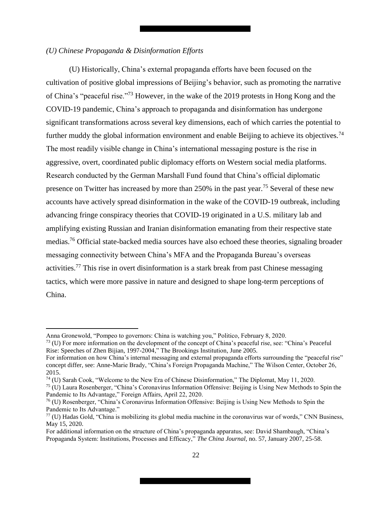#### <span id="page-21-0"></span>*(U) Chinese Propaganda & Disinformation Efforts*

(U) Historically, China's external propaganda efforts have been focused on the cultivation of positive global impressions of Beijing's behavior, such as promoting the narrative of China's "peaceful rise."<sup>73</sup> However, in the wake of the 2019 protests in Hong Kong and the COVID-19 pandemic, China's approach to propaganda and disinformation has undergone significant transformations across several key dimensions, each of which carries the potential to further muddy the global information environment and enable Beijing to achieve its objectives.<sup>74</sup> The most readily visible change in China's international messaging posture is the rise in aggressive, overt, coordinated public diplomacy efforts on Western social media platforms. Research conducted by the German Marshall Fund found that China's official diplomatic presence on Twitter has increased by more than 250% in the past year.<sup>75</sup> Several of these new accounts have actively spread disinformation in the wake of the COVID-19 outbreak, including advancing fringe conspiracy theories that COVID-19 originated in a U.S. military lab and amplifying existing Russian and Iranian disinformation emanating from their respective state medias.<sup>76</sup> Official state-backed media sources have also echoed these theories, signaling broader messaging connectivity between China's MFA and the Propaganda Bureau's overseas activities.<sup>77</sup> This rise in overt disinformation is a stark break from past Chinese messaging tactics, which were more passive in nature and designed to shape long-term perceptions of China.

l

Anna Gronewold, "Pompeo to governors: China is watching you," Politico, February 8, 2020.

<sup>73</sup> (U) For more information on the development of the concept of China's peaceful rise, see: "China's Peaceful Rise: Speeches of Zhen Bijian, 1997-2004," The Brookings Institution, June 2005.

For information on how China's internal messaging and external propaganda efforts surrounding the "peaceful rise" concept differ, see: Anne-Marie Brady, "China's Foreign Propaganda Machine," The Wilson Center, October 26, 2015.

<sup>74</sup> (U) Sarah Cook, "Welcome to the New Era of Chinese Disinformation," The Diplomat, May 11, 2020.

<sup>75</sup> (U) Laura Rosenberger, "China's Coronavirus Information Offensive: Beijing is Using New Methods to Spin the Pandemic to Its Advantage," Foreign Affairs, April 22, 2020.

<sup>76</sup> (U) Rosenberger, "China's Coronavirus Information Offensive: Beijing is Using New Methods to Spin the Pandemic to Its Advantage."

 $77$  (U) Hadas Gold, "China is mobilizing its global media machine in the coronavirus war of words," CNN Business, May 15, 2020.

For additional information on the structure of China's propaganda apparatus, see: David Shambaugh, "China's Propaganda System: Institutions, Processes and Efficacy," *The China Journal,* no. 57, January 2007, 25-58.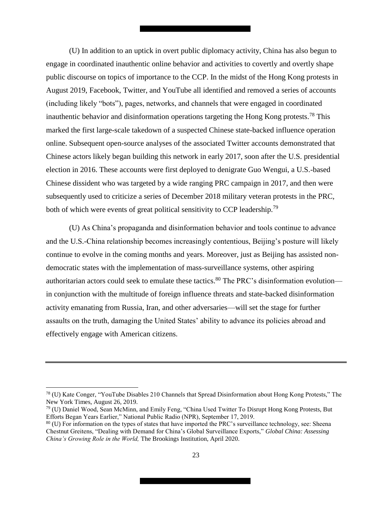(U) In addition to an uptick in overt public diplomacy activity, China has also begun to engage in coordinated inauthentic online behavior and activities to covertly and overtly shape public discourse on topics of importance to the CCP. In the midst of the Hong Kong protests in August 2019, Facebook, Twitter, and YouTube all identified and removed a series of accounts (including likely "bots"), pages, networks, and channels that were engaged in coordinated inauthentic behavior and disinformation operations targeting the Hong Kong protests.<sup>78</sup> This marked the first large-scale takedown of a suspected Chinese state-backed influence operation online. Subsequent open-source analyses of the associated Twitter accounts demonstrated that Chinese actors likely began building this network in early 2017, soon after the U.S. presidential election in 2016. These accounts were first deployed to denigrate Guo Wengui, a U.S.-based Chinese dissident who was targeted by a wide ranging PRC campaign in 2017, and then were subsequently used to criticize a series of December 2018 military veteran protests in the PRC, both of which were events of great political sensitivity to CCP leadership.<sup>79</sup>

(U) As China's propaganda and disinformation behavior and tools continue to advance and the U.S.-China relationship becomes increasingly contentious, Beijing's posture will likely continue to evolve in the coming months and years. Moreover, just as Beijing has assisted nondemocratic states with the implementation of mass-surveillance systems, other aspiring authoritarian actors could seek to emulate these tactics.<sup>80</sup> The PRC's disinformation evolution in conjunction with the multitude of foreign influence threats and state-backed disinformation activity emanating from Russia, Iran, and other adversaries—will set the stage for further assaults on the truth, damaging the United States' ability to advance its policies abroad and effectively engage with American citizens.

 $\overline{\phantom{a}}$ 

<sup>78</sup> (U) Kate Conger, "YouTube Disables 210 Channels that Spread Disinformation about Hong Kong Protests," The New York Times, August 26, 2019.

<sup>79</sup> (U) Daniel Wood, Sean McMinn, and Emily Feng, "China Used Twitter To Disrupt Hong Kong Protests, But Efforts Began Years Earlier," National Public Radio (NPR), September 17, 2019.

<sup>80</sup> (U) For information on the types of states that have imported the PRC's surveillance technology, see: Sheena Chestnut Greitens, "Dealing with Demand for China's Global Surveillance Exports," *Global China: Assessing China's Growing Role in the World,* The Brookings Institution, April 2020.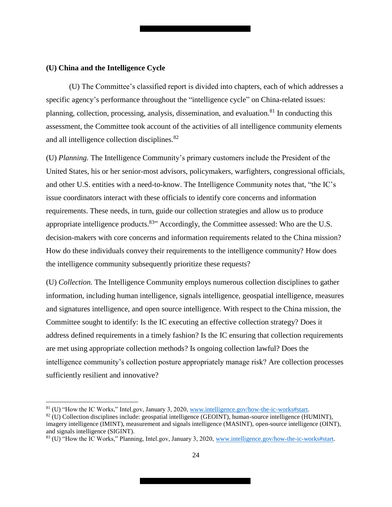#### <span id="page-23-0"></span>**(U) China and the Intelligence Cycle**

 $\overline{\phantom{a}}$ 

(U) The Committee's classified report is divided into chapters, each of which addresses a specific agency's performance throughout the "intelligence cycle" on China-related issues: planning, collection, processing, analysis, dissemination, and evaluation.<sup>81</sup> In conducting this assessment, the Committee took account of the activities of all intelligence community elements and all intelligence collection disciplines.<sup>82</sup>

(U) *Planning.* The Intelligence Community's primary customers include the President of the United States, his or her senior-most advisors, policymakers, warfighters, congressional officials, and other U.S. entities with a need-to-know. The Intelligence Community notes that, "the IC's issue coordinators interact with these officials to identify core concerns and information requirements. These needs, in turn, guide our collection strategies and allow us to produce appropriate intelligence products.  $83$ <sup>33</sup> Accordingly, the Committee assessed: Who are the U.S. decision-makers with core concerns and information requirements related to the China mission? How do these individuals convey their requirements to the intelligence community? How does the intelligence community subsequently prioritize these requests?

(U) *Collection.* The Intelligence Community employs numerous collection disciplines to gather information, including human intelligence, signals intelligence, geospatial intelligence, measures and signatures intelligence, and open source intelligence. With respect to the China mission, the Committee sought to identify: Is the IC executing an effective collection strategy? Does it address defined requirements in a timely fashion? Is the IC ensuring that collection requirements are met using appropriate collection methods? Is ongoing collection lawful? Does the intelligence community's collection posture appropriately manage risk? Are collection processes sufficiently resilient and innovative?

<sup>81</sup> (U) "How the IC Works," Intel.gov, January 3, 2020, www.intelligence.gov/how-the-ic-works#start.

 $82$  (U) Collection disciplines include: geospatial intelligence (GEOINT), human-source intelligence (HUMINT), imagery intelligence (IMINT), measurement and signals intelligence (MASINT), open-source intelligence (OINT), and signals intelligence (SIGINT).

<sup>83</sup> (U) "How the IC Works," Planning, Intel.gov, January 3, 2020, www.intelligence.gov/how-the-ic-works#start.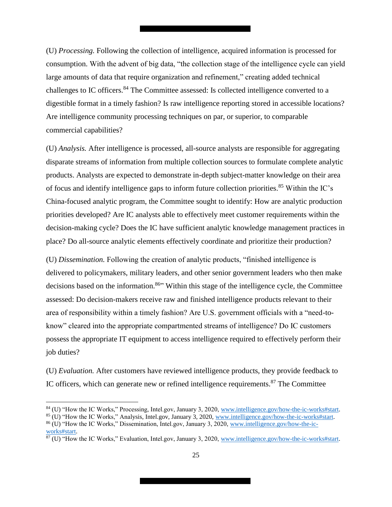(U) *Processing.* Following the collection of intelligence, acquired information is processed for consumption. With the advent of big data, "the collection stage of the intelligence cycle can yield large amounts of data that require organization and refinement," creating added technical challenges to IC officers.<sup>84</sup> The Committee assessed: Is collected intelligence converted to a digestible format in a timely fashion? Is raw intelligence reporting stored in accessible locations? Are intelligence community processing techniques on par, or superior, to comparable commercial capabilities?

(U) *Analysis.* After intelligence is processed, all-source analysts are responsible for aggregating disparate streams of information from multiple collection sources to formulate complete analytic products. Analysts are expected to demonstrate in-depth subject-matter knowledge on their area of focus and identify intelligence gaps to inform future collection priorities.<sup>85</sup> Within the IC's China-focused analytic program, the Committee sought to identify: How are analytic production priorities developed? Are IC analysts able to effectively meet customer requirements within the decision-making cycle? Does the IC have sufficient analytic knowledge management practices in place? Do all-source analytic elements effectively coordinate and prioritize their production?

(U) *Dissemination.* Following the creation of analytic products, "finished intelligence is delivered to policymakers, military leaders, and other senior government leaders who then make decisions based on the information.<sup>86</sup> Within this stage of the intelligence cycle, the Committee assessed: Do decision-makers receive raw and finished intelligence products relevant to their area of responsibility within a timely fashion? Are U.S. government officials with a "need-toknow" cleared into the appropriate compartmented streams of intelligence? Do IC customers possess the appropriate IT equipment to access intelligence required to effectively perform their job duties?

(U) *Evaluation.* After customers have reviewed intelligence products, they provide feedback to IC officers, which can generate new or refined intelligence requirements. $87$  The Committee

 $\overline{\phantom{a}}$ 

<sup>84</sup> (U) "How the IC Works," Processing, Intel.gov, January 3, 2020, www.intelligence.gov/how-the-ic-works#start.

<sup>85</sup> (U) "How the IC Works," Analysis, Intel.gov, January 3, 2020, www.intelligence.gov/how-the-ic-works#start. <sup>86</sup> (U) "How the IC Works," Dissemination, Intel.gov, January 3, 2020, www.intelligence.gov/how-the-ic-

works#start.

<sup>87</sup> (U) "How the IC Works," Evaluation, Intel.gov, January 3, 2020, www.intelligence.gov/how-the-ic-works#start.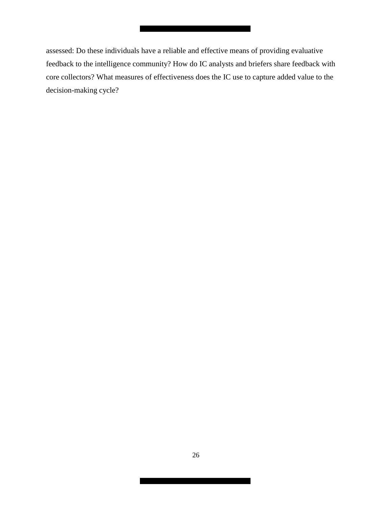assessed: Do these individuals have a reliable and effective means of providing evaluative feedback to the intelligence community? How do IC analysts and briefers share feedback with core collectors? What measures of effectiveness does the IC use to capture added value to the decision-making cycle?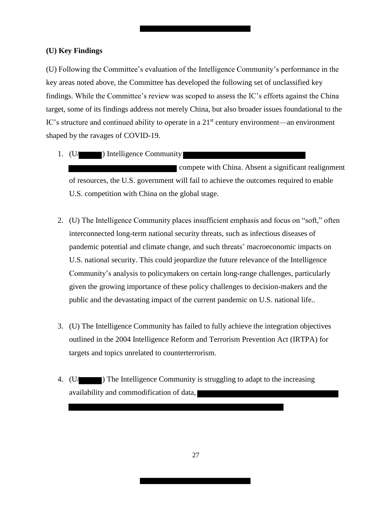#### <span id="page-26-0"></span>**(U) Key Findings**

(U) Following the Committee's evaluation of the Intelligence Community's performance in the key areas noted above, the Committee has developed the following set of unclassified key findings. While the Committee's review was scoped to assess the IC's efforts against the China target, some of its findings address not merely China, but also broader issues foundational to the IC's structure and continued ability to operate in a 21<sup>st</sup> century environment—an environment shaped by the ravages of COVID-19.

1. (U/ ) Intelligence Community

**Example 20** compete with China. Absent a significant realignment of resources, the U.S. government will fail to achieve the outcomes required to enable U.S. competition with China on the global stage.

- 2. (U) The Intelligence Community places insufficient emphasis and focus on "soft," often interconnected long-term national security threats, such as infectious diseases of pandemic potential and climate change, and such threats' macroeconomic impacts on U.S. national security. This could jeopardize the future relevance of the Intelligence Community's analysis to policymakers on certain long-range challenges, particularly given the growing importance of these policy challenges to decision-makers and the public and the devastating impact of the current pandemic on U.S. national life..
- 3. (U) The Intelligence Community has failed to fully achieve the integration objectives outlined in the 2004 Intelligence Reform and Terrorism Prevention Act (IRTPA) for targets and topics unrelated to counterterrorism.
- 4. (U/ ) The Intelligence Community is struggling to adapt to the increasing availability and commodification of data,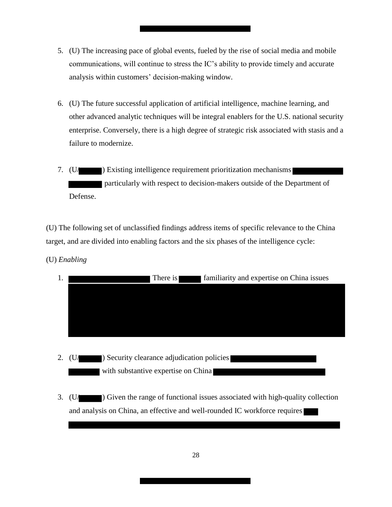- 5. (U) The increasing pace of global events, fueled by the rise of social media and mobile communications, will continue to stress the IC's ability to provide timely and accurate analysis within customers' decision-making window.
- 6. (U) The future successful application of artificial intelligence, machine learning, and other advanced analytic techniques will be integral enablers for the U.S. national security enterprise. Conversely, there is a high degree of strategic risk associated with stasis and a failure to modernize.
- 7. (U/  $\Box$ ) Existing intelligence requirement prioritization mechanisms particularly with respect to decision-makers outside of the Department of Defense.

(U) The following set of unclassified findings address items of specific relevance to the China target, and are divided into enabling factors and the six phases of the intelligence cycle:

(U) *Enabling*

| 1. |    | There is                                   | familiarity and expertise on China issues |
|----|----|--------------------------------------------|-------------------------------------------|
|    |    |                                            |                                           |
|    |    |                                            |                                           |
|    |    |                                            |                                           |
|    |    |                                            |                                           |
|    |    |                                            |                                           |
| 2. | U/ | ) Security clearance adjudication policies |                                           |
|    |    | with substantive expertise on China        |                                           |

3. (U/ ) Given the range of functional issues associated with high-quality collection and analysis on China, an effective and well-rounded IC workforce requires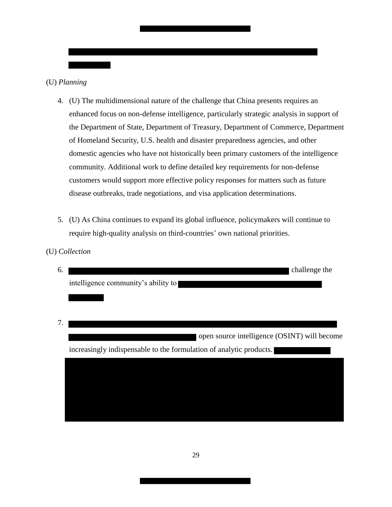

(U) *Collection*

- 4. (U) The multidimensional nature of the challenge that China presents requires an enhanced focus on non-defense intelligence, particularly strategic analysis in support of the Department of State, Department of Treasury, Department of Commerce, Department of Homeland Security, U.S. health and disaster preparedness agencies, and other domestic agencies who have not historically been primary customers of the intelligence community. Additional work to define detailed key requirements for non-defense customers would support more effective policy responses for matters such as future disease outbreaks, trade negotiations, and visa application determinations.
- 5. (U) As China continues to expand its global influence, policymakers will continue to require high-quality analysis on third-countries' own national priorities.
- 6. challenge the intelligence community's ability to 7. open source intelligence (OSINT) will become increasingly indispensable to the formulation of analytic products.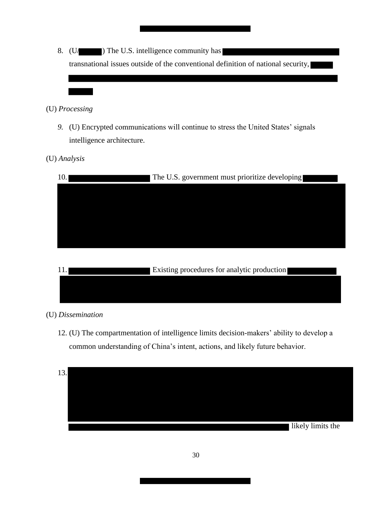8. (U/ ) The U.S. intelligence community has transnational issues outside of the conventional definition of national security,

## (U) *Processing*

*9.* (U) Encrypted communications will continue to stress the United States' signals intelligence architecture.

# (U) *Analysis*

| 10. | The U.S. government must prioritize developing |
|-----|------------------------------------------------|
|     |                                                |
|     |                                                |
|     |                                                |
|     |                                                |
|     |                                                |

| Existing procedures for analytic production |
|---------------------------------------------|
|                                             |
|                                             |

# (U) *Dissemination*

12. (U) The compartmentation of intelligence limits decision-makers' ability to develop a common understanding of China's intent, actions, and likely future behavior.

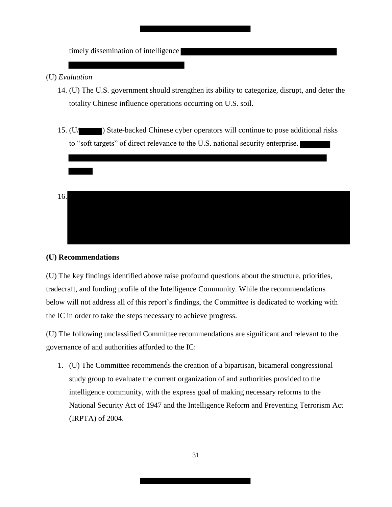timely dissemination of intelligence

## (U) *Evaluation*

- 14. (U) The U.S. government should strengthen its ability to categorize, disrupt, and deter the totality Chinese influence operations occurring on U.S. soil.
- 15. (U/ ) State-backed Chinese cyber operators will continue to pose additional risks to "soft targets" of direct relevance to the U.S. national security enterprise.

16.

#### <span id="page-30-0"></span>**(U) Recommendations**

(U) The key findings identified above raise profound questions about the structure, priorities, tradecraft, and funding profile of the Intelligence Community. While the recommendations below will not address all of this report's findings, the Committee is dedicated to working with the IC in order to take the steps necessary to achieve progress.

(U) The following unclassified Committee recommendations are significant and relevant to the governance of and authorities afforded to the IC:

1. (U) The Committee recommends the creation of a bipartisan, bicameral congressional study group to evaluate the current organization of and authorities provided to the intelligence community, with the express goal of making necessary reforms to the National Security Act of 1947 and the Intelligence Reform and Preventing Terrorism Act (IRPTA) of 2004.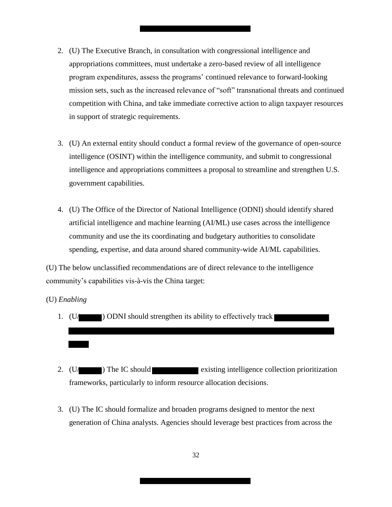- 2. (U) The Executive Branch, in consultation with congressional intelligence and appropriations committees, must undertake a zero-based review of all intelligence program expenditures, assess the programs' continued relevance to forward-looking mission sets, such as the increased relevance of "soft" transnational threats and continued competition with China, and take immediate corrective action to align taxpayer resources in support of strategic requirements.
- 3. (U) An external entity should conduct a formal review of the governance of open-source intelligence (OSINT) within the intelligence community, and submit to congressional intelligence and appropriations committees a proposal to streamline and strengthen U.S. government capabilities.
- 4. (U) The Office of the Director of National Intelligence (ODNI) should identify shared artificial intelligence and machine learning (AI/ML) use cases across the intelligence community and use the its coordinating and budgetary authorities to consolidate spending, expertise, and data around shared community-wide AI/ML capabilities.

(U) The below unclassified recommendations are of direct relevance to the intelligence community's capabilities vis-à-vis the China target:

(U) *Enabling*

- 1.  $(U/\sqrt{U})$  ODNI should strengthen its ability to effectively track
- 2.  $(U/\Box)$  The IC should existing intelligence collection prioritization frameworks, particularly to inform resource allocation decisions.
- 3. (U) The IC should formalize and broaden programs designed to mentor the next generation of China analysts. Agencies should leverage best practices from across the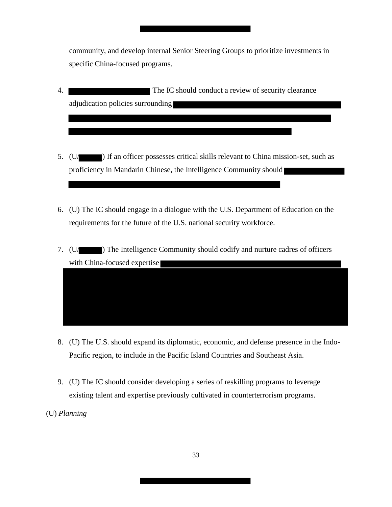community, and develop internal Senior Steering Groups to prioritize investments in specific China-focused programs.

- 4. The IC should conduct a review of security clearance adjudication policies surrounding
- 5. (U/ ) If an officer possesses critical skills relevant to China mission-set, such as proficiency in Mandarin Chinese, the Intelligence Community should
- 6. (U) The IC should engage in a dialogue with the U.S. Department of Education on the requirements for the future of the U.S. national security workforce.
- 7. (U/ ) The Intelligence Community should codify and nurture cadres of officers with China-focused expertise

- 8. (U) The U.S. should expand its diplomatic, economic, and defense presence in the Indo-Pacific region, to include in the Pacific Island Countries and Southeast Asia.
- 9. (U) The IC should consider developing a series of reskilling programs to leverage existing talent and expertise previously cultivated in counterterrorism programs.
- (U) *Planning*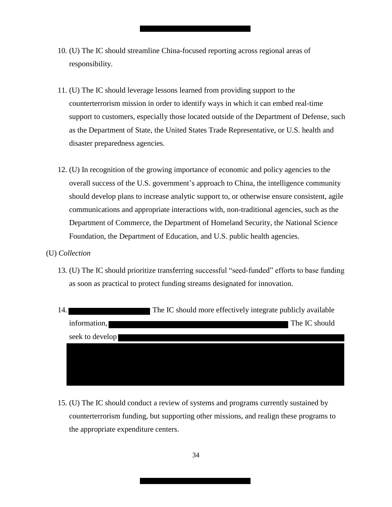- 10. (U) The IC should streamline China-focused reporting across regional areas of responsibility.
- 11. (U) The IC should leverage lessons learned from providing support to the counterterrorism mission in order to identify ways in which it can embed real-time support to customers, especially those located outside of the Department of Defense, such as the Department of State, the United States Trade Representative, or U.S. health and disaster preparedness agencies.
- 12. (U) In recognition of the growing importance of economic and policy agencies to the overall success of the U.S. government's approach to China, the intelligence community should develop plans to increase analytic support to, or otherwise ensure consistent, agile communications and appropriate interactions with, non-traditional agencies, such as the Department of Commerce, the Department of Homeland Security, the National Science Foundation, the Department of Education, and U.S. public health agencies.
- (U) *Collection*
	- 13. (U) The IC should prioritize transferring successful "seed-funded" efforts to base funding as soon as practical to protect funding streams designated for innovation.

| 14. |                 | The IC should more effectively integrate publicly available |
|-----|-----------------|-------------------------------------------------------------|
|     | information,    | The IC should                                               |
|     | seek to develop |                                                             |
|     |                 |                                                             |
|     |                 |                                                             |
|     |                 |                                                             |

15. (U) The IC should conduct a review of systems and programs currently sustained by counterterrorism funding, but supporting other missions, and realign these programs to the appropriate expenditure centers.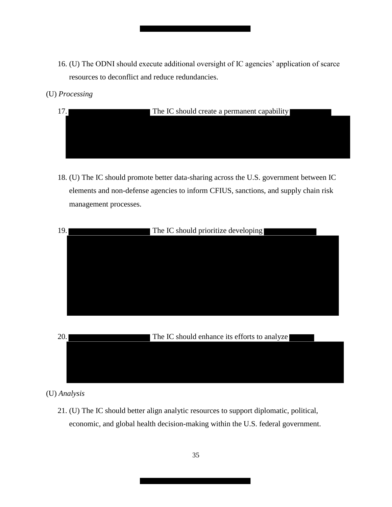- 16. (U) The ODNI should execute additional oversight of IC agencies' application of scarce resources to deconflict and reduce redundancies.
- (U) *Processing*
	- 17. The IC should create a permanent capability
	- 18. (U) The IC should promote better data-sharing across the U.S. government between IC elements and non-defense agencies to inform CFIUS, sanctions, and supply chain risk management processes.



(U) *Analysis*

21. (U) The IC should better align analytic resources to support diplomatic, political, economic, and global health decision-making within the U.S. federal government.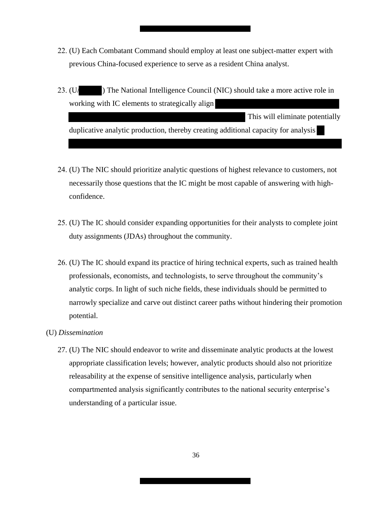- 22. (U) Each Combatant Command should employ at least one subject-matter expert with previous China-focused experience to serve as a resident China analyst.
- 23. (U/ ) The National Intelligence Council (NIC) should take a more active role in working with IC elements to strategically align This will eliminate potentially duplicative analytic production, thereby creating additional capacity for analysis
- 24. (U) The NIC should prioritize analytic questions of highest relevance to customers, not necessarily those questions that the IC might be most capable of answering with highconfidence.
- 25. (U) The IC should consider expanding opportunities for their analysts to complete joint duty assignments (JDAs) throughout the community.
- 26. (U) The IC should expand its practice of hiring technical experts, such as trained health professionals, economists, and technologists, to serve throughout the community's analytic corps. In light of such niche fields, these individuals should be permitted to narrowly specialize and carve out distinct career paths without hindering their promotion potential.
- (U) *Dissemination*
	- 27. (U) The NIC should endeavor to write and disseminate analytic products at the lowest appropriate classification levels; however, analytic products should also not prioritize releasability at the expense of sensitive intelligence analysis, particularly when compartmented analysis significantly contributes to the national security enterprise's understanding of a particular issue.